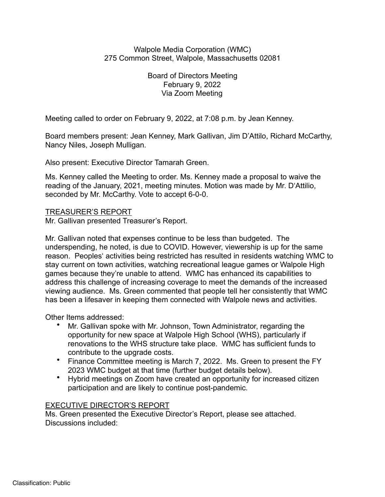## Walpole Media Corporation (WMC) 275 Common Street, Walpole, Massachusetts 02081

Board of Directors Meeting February 9, 2022 Via Zoom Meeting

Meeting called to order on February 9, 2022, at 7:08 p.m. by Jean Kenney.

Board members present: Jean Kenney, Mark Gallivan, Jim D'Attilo, Richard McCarthy, Nancy Niles, Joseph Mulligan.

Also present: Executive Director Tamarah Green.

Ms. Kenney called the Meeting to order. Ms. Kenney made a proposal to waive the reading of the January, 2021, meeting minutes. Motion was made by Mr. D'Attilio, seconded by Mr. McCarthy. Vote to accept 6-0-0.

## TREASURER'S REPORT

Mr. Gallivan presented Treasurer's Report.

Mr. Gallivan noted that expenses continue to be less than budgeted. The underspending, he noted, is due to COVID. However, viewership is up for the same reason. Peoples' activities being restricted has resulted in residents watching WMC to stay current on town activities, watching recreational league games or Walpole High games because they're unable to attend. WMC has enhanced its capabilities to address this challenge of increasing coverage to meet the demands of the increased viewing audience. Ms. Green commented that people tell her consistently that WMC has been a lifesaver in keeping them connected with Walpole news and activities.

Other Items addressed:

- Mr. Gallivan spoke with Mr. Johnson, Town Administrator, regarding the opportunity for new space at Walpole High School (WHS), particularly if renovations to the WHS structure take place. WMC has sufficient funds to contribute to the upgrade costs.
- Finance Committee meeting is March 7, 2022. Ms. Green to present the FY 2023 WMC budget at that time (further budget details below).
- Hybrid meetings on Zoom have created an opportunity for increased citizen participation and are likely to continue post-pandemic.

# EXECUTIVE DIRECTOR'S REPORT

Ms. Green presented the Executive Director's Report, please see attached. Discussions included: